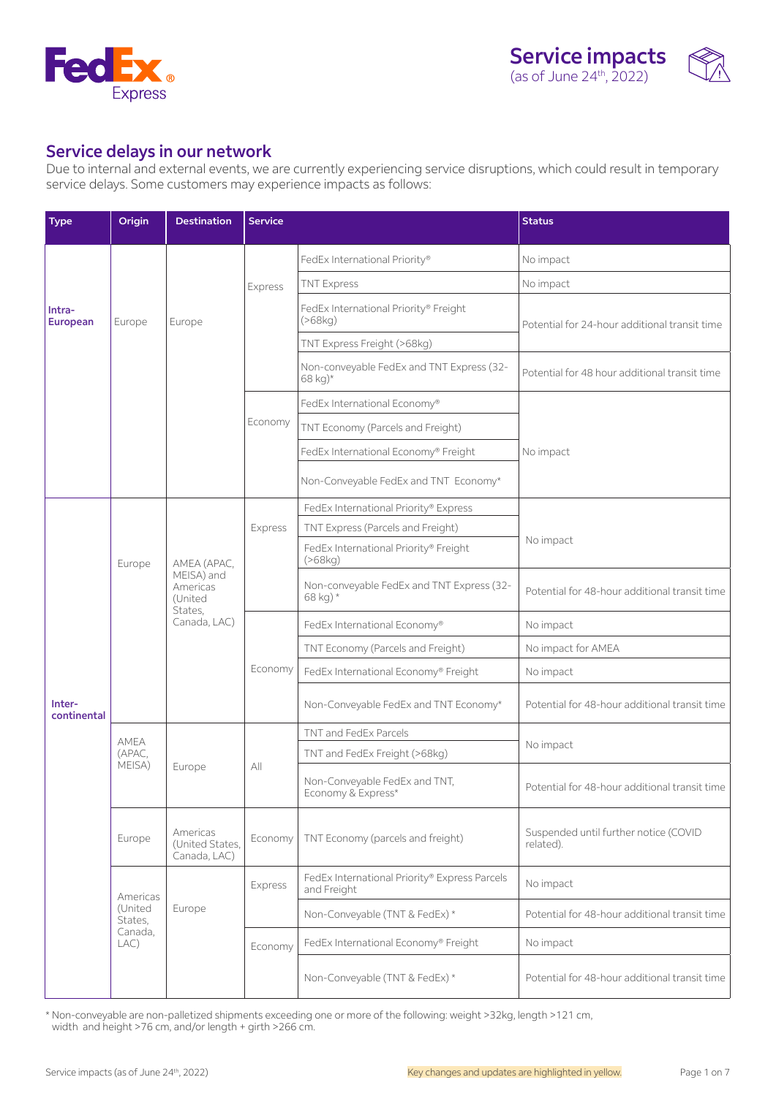



# Service delays in our network

Due to internal and external events, we are currently experiencing service disruptions, which could result in temporary service delays. Some customers may experience impacts as follows:

| <b>Type</b>               | Origin                                           | <b>Destination</b>                                                          | <b>Service</b> |                                                              | <b>Status</b>                                      |  |
|---------------------------|--------------------------------------------------|-----------------------------------------------------------------------------|----------------|--------------------------------------------------------------|----------------------------------------------------|--|
| Intra-<br><b>European</b> |                                                  |                                                                             | Express        | FedEx International Priority®                                | No impact                                          |  |
|                           |                                                  |                                                                             |                | <b>TNT Express</b>                                           | No impact                                          |  |
|                           | Europe                                           | Europe                                                                      |                | FedEx International Priority® Freight<br>( > 68kg)           | Potential for 24-hour additional transit time      |  |
|                           |                                                  |                                                                             |                | TNT Express Freight (>68kg)                                  |                                                    |  |
|                           |                                                  |                                                                             |                | Non-conveyable FedEx and TNT Express (32-<br>68 kg)*         | Potential for 48 hour additional transit time      |  |
|                           |                                                  |                                                                             |                | FedEx International Economy®                                 |                                                    |  |
|                           |                                                  |                                                                             | Economy        | TNT Economy (Parcels and Freight)                            |                                                    |  |
|                           |                                                  |                                                                             |                | FedEx International Economy® Freight                         | No impact                                          |  |
|                           |                                                  |                                                                             |                | Non-Conveyable FedEx and TNT Economy*                        |                                                    |  |
|                           |                                                  |                                                                             |                | FedEx International Priority® Express                        |                                                    |  |
|                           |                                                  | AMEA (APAC,<br>MEISA) and<br>Americas<br>(United<br>States,<br>Canada, LAC) | Express        | TNT Express (Parcels and Freight)                            | No impact                                          |  |
| Inter-<br>continental     | Europe                                           |                                                                             |                | FedEx International Priority® Freight<br>(>68kg)             |                                                    |  |
|                           |                                                  |                                                                             |                | Non-conveyable FedEx and TNT Express (32-<br>68 kg) *        | Potential for 48-hour additional transit time      |  |
|                           |                                                  |                                                                             | Economy        | FedEx International Economy®                                 | No impact                                          |  |
|                           |                                                  |                                                                             |                | TNT Economy (Parcels and Freight)                            | No impact for AMEA                                 |  |
|                           |                                                  |                                                                             |                | FedEx International Economy® Freight                         | No impact                                          |  |
|                           |                                                  |                                                                             |                | Non-Conveyable FedEx and TNT Economy*                        | Potential for 48-hour additional transit time      |  |
|                           | AMEA                                             |                                                                             | All            | TNT and FedEx Parcels                                        |                                                    |  |
|                           | (APAC,<br>MEISA)                                 | Europe                                                                      |                | TNT and FedEx Freight (>68kg)                                | No impact                                          |  |
|                           |                                                  |                                                                             |                | Non-Conveyable FedEx and TNT,<br>Economy & Express*          | Potential for 48-hour additional transit time      |  |
|                           | Europe                                           | Americas<br>(United States,<br>Canada, LAC)                                 | Economy        | TNT Economy (parcels and freight)                            | Suspended until further notice (COVID<br>related). |  |
|                           | Americas<br>(United<br>States,<br>Canada,<br>LAC | Europe                                                                      | Express        | FedEx International Priority® Express Parcels<br>and Freight | No impact                                          |  |
|                           |                                                  |                                                                             |                | Non-Conveyable (TNT & FedEx) *                               | Potential for 48-hour additional transit time      |  |
|                           |                                                  |                                                                             | Economy        | FedEx International Economy® Freight                         | No impact                                          |  |
|                           |                                                  |                                                                             |                | Non-Conveyable (TNT & FedEx) *                               | Potential for 48-hour additional transit time      |  |

\* Non-conveyable are non-palletized shipments exceeding one or more of the following: weight >32kg, length >121 cm, width and height >76 cm, and/or length + girth >266 cm.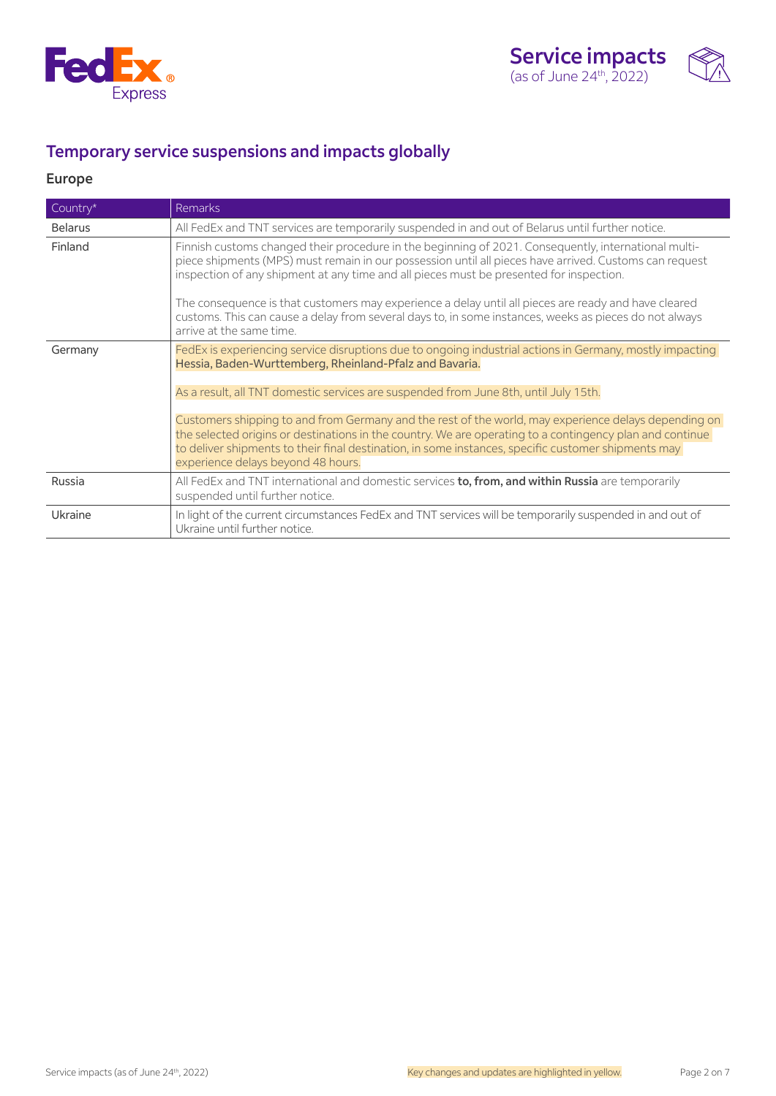



# Temporary service suspensions and impacts globally

# Europe

| Country*       | <b>Remarks</b>                                                                                                                                                                                                                                                                                                                                                                                                                                                                                                                                                                                                               |
|----------------|------------------------------------------------------------------------------------------------------------------------------------------------------------------------------------------------------------------------------------------------------------------------------------------------------------------------------------------------------------------------------------------------------------------------------------------------------------------------------------------------------------------------------------------------------------------------------------------------------------------------------|
| <b>Belarus</b> | All FedEx and TNT services are temporarily suspended in and out of Belarus until further notice.                                                                                                                                                                                                                                                                                                                                                                                                                                                                                                                             |
| Finland        | Finnish customs changed their procedure in the beginning of 2021. Consequently, international multi-<br>piece shipments (MPS) must remain in our possession until all pieces have arrived. Customs can request<br>inspection of any shipment at any time and all pieces must be presented for inspection.<br>The consequence is that customers may experience a delay until all pieces are ready and have cleared<br>customs. This can cause a delay from several days to, in some instances, weeks as pieces do not always                                                                                                  |
|                | arrive at the same time.                                                                                                                                                                                                                                                                                                                                                                                                                                                                                                                                                                                                     |
| Germany        | FedEx is experiencing service disruptions due to ongoing industrial actions in Germany, mostly impacting<br>Hessia, Baden-Wurttemberg, Rheinland-Pfalz and Bavaria.<br>As a result, all TNT domestic services are suspended from June 8th, until July 15th.<br>Customers shipping to and from Germany and the rest of the world, may experience delays depending on<br>the selected origins or destinations in the country. We are operating to a contingency plan and continue<br>to deliver shipments to their final destination, in some instances, specific customer shipments may<br>experience delays beyond 48 hours. |
| Russia         | All FedEx and TNT international and domestic services to, from, and within Russia are temporarily<br>suspended until further notice.                                                                                                                                                                                                                                                                                                                                                                                                                                                                                         |
| Ukraine        | In light of the current circumstances FedEx and TNT services will be temporarily suspended in and out of<br>Ukraine until further notice.                                                                                                                                                                                                                                                                                                                                                                                                                                                                                    |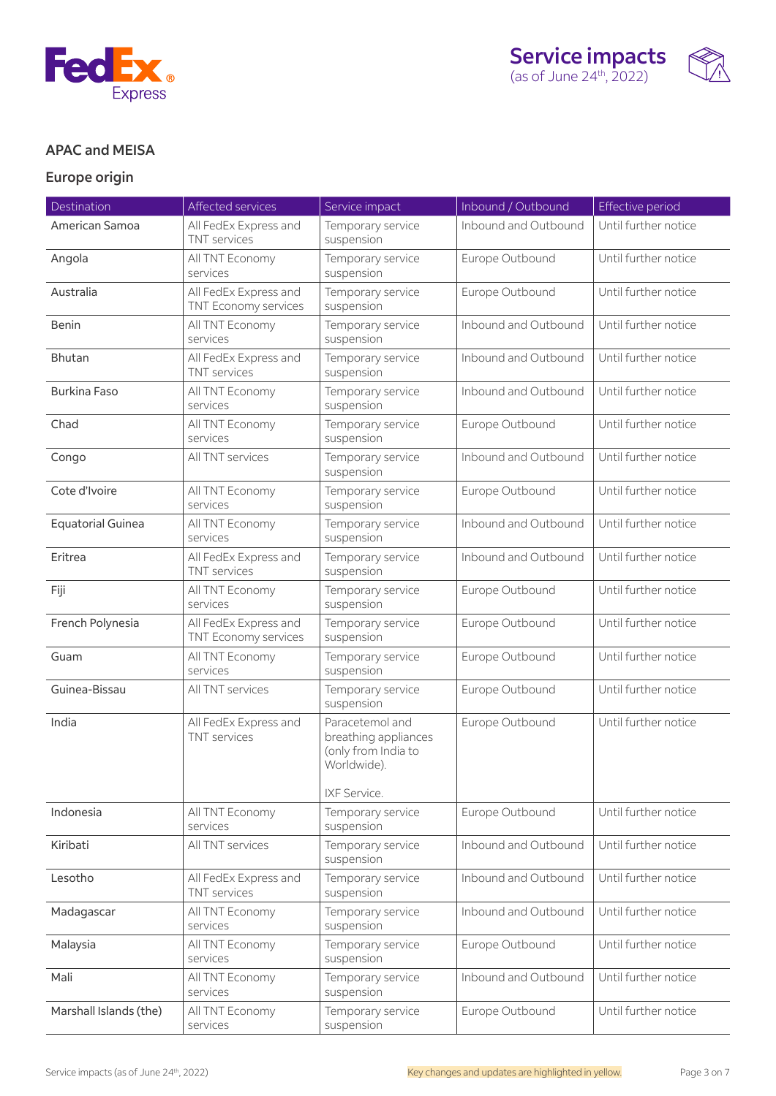



## APAC and MEISA

# Europe origin

| Destination              | Affected services                             | Service impact                                                                                | Inbound / Outbound   | Effective period     |
|--------------------------|-----------------------------------------------|-----------------------------------------------------------------------------------------------|----------------------|----------------------|
| American Samoa           | All FedEx Express and<br><b>TNT</b> services  | Temporary service<br>suspension                                                               | Inbound and Outbound | Until further notice |
| Angola                   | All TNT Economy<br>services                   |                                                                                               | Europe Outbound      | Until further notice |
| Australia                | All FedEx Express and<br>TNT Economy services | Temporary service<br>suspension                                                               | Europe Outbound      | Until further notice |
| <b>Benin</b>             | All TNT Economy<br>services                   | Temporary service<br>suspension                                                               | Inbound and Outbound | Until further notice |
| Bhutan                   | All FedEx Express and<br><b>TNT</b> services  | Temporary service<br>suspension                                                               | Inbound and Outbound | Until further notice |
| <b>Burkina Faso</b>      | All TNT Economy<br>services                   | Temporary service<br>suspension                                                               | Inbound and Outbound | Until further notice |
| Chad                     | All TNT Economy<br>services                   | Temporary service<br>suspension                                                               | Europe Outbound      | Until further notice |
| Congo                    | All TNT services                              | Temporary service<br>suspension                                                               | Inbound and Outbound | Until further notice |
| Cote d'Ivoire            | All TNT Economy<br>services                   | Temporary service<br>suspension                                                               | Europe Outbound      | Until further notice |
| <b>Equatorial Guinea</b> | All TNT Economy<br>services                   | Temporary service<br>suspension                                                               | Inbound and Outbound | Until further notice |
| Eritrea                  | All FedEx Express and<br><b>TNT</b> services  | Temporary service<br>suspension                                                               | Inbound and Outbound | Until further notice |
| Fiji                     | All TNT Economy<br>services                   | Temporary service<br>suspension                                                               | Europe Outbound      | Until further notice |
| French Polynesia         | All FedEx Express and<br>TNT Economy services | Temporary service<br>suspension                                                               | Europe Outbound      | Until further notice |
| Guam                     | All TNT Economy<br>services                   | Temporary service<br>suspension                                                               | Europe Outbound      | Until further notice |
| Guinea-Bissau            | All TNT services                              | Temporary service<br>suspension                                                               | Europe Outbound      | Until further notice |
| India                    | All FedEx Express and<br><b>TNT</b> services  | Paracetemol and<br>breathing appliances<br>(only from India to<br>Worldwide).<br>IXF Service. | Europe Outbound      | Until further notice |
| Indonesia                | All TNT Economy<br>services                   | Temporary service<br>suspension                                                               | Europe Outbound      | Until further notice |
| Kiribati                 | All TNT services                              | Temporary service<br>suspension                                                               | Inbound and Outbound | Until further notice |
| Lesotho                  | All FedEx Express and<br><b>TNT</b> services  | Temporary service<br>suspension                                                               | Inbound and Outbound | Until further notice |
| Madagascar               | All TNT Economy<br>services                   | Temporary service<br>suspension                                                               | Inbound and Outbound | Until further notice |
| Malaysia                 | All TNT Economy<br>services                   | Temporary service<br>suspension                                                               | Europe Outbound      | Until further notice |
| Mali                     | All TNT Economy<br>services                   | Temporary service<br>suspension                                                               | Inbound and Outbound | Until further notice |
| Marshall Islands (the)   | All TNT Economy<br>services                   | Temporary service<br>suspension                                                               | Europe Outbound      | Until further notice |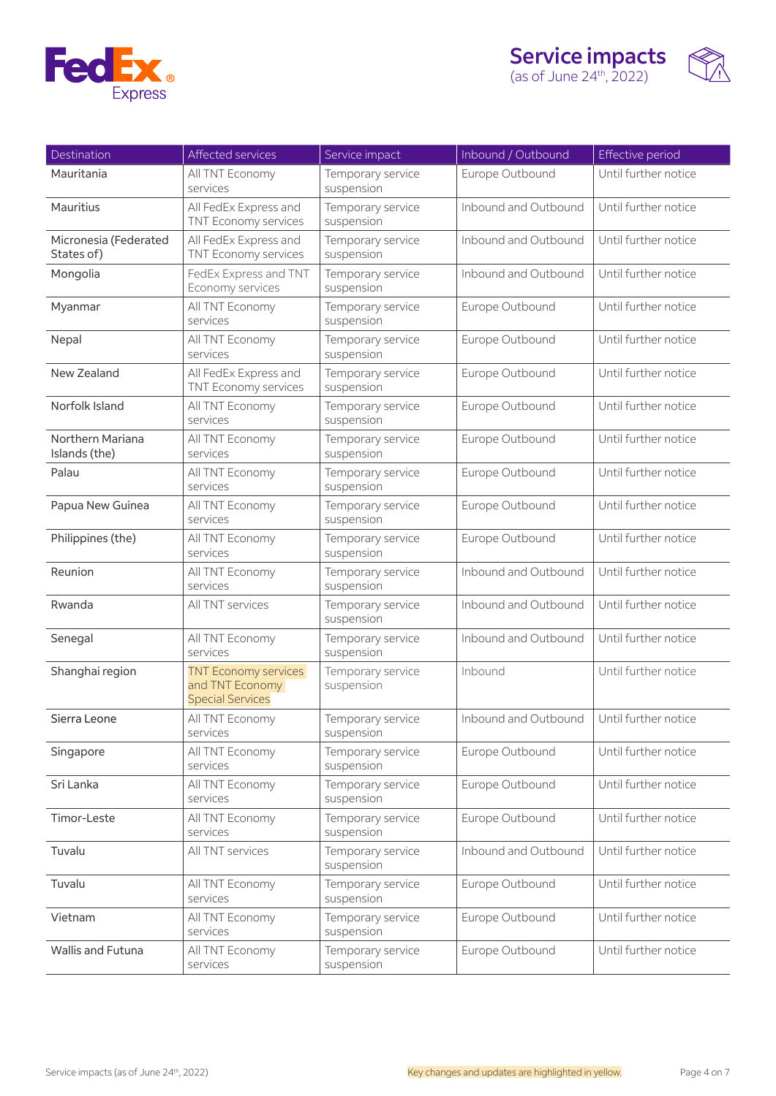



| Destination                         | Affected services                                                         | Service impact                  | Inbound / Outbound   | Effective period     |
|-------------------------------------|---------------------------------------------------------------------------|---------------------------------|----------------------|----------------------|
| Mauritania                          | All TNT Economy<br>services                                               | Temporary service<br>suspension | Europe Outbound      | Until further notice |
| Mauritius                           | All FedEx Express and<br>TNT Economy services                             | Temporary service<br>suspension | Inbound and Outbound | Until further notice |
| Micronesia (Federated<br>States of) | All FedEx Express and<br>TNT Economy services                             | Temporary service<br>suspension | Inbound and Outbound | Until further notice |
| Mongolia                            | FedEx Express and TNT<br>Economy services                                 | Temporary service<br>suspension | Inbound and Outbound | Until further notice |
| Myanmar                             | All TNT Economy<br>services                                               | Temporary service<br>suspension | Europe Outbound      | Until further notice |
| Nepal                               | All TNT Economy<br>services                                               | Temporary service<br>suspension | Europe Outbound      | Until further notice |
| New Zealand                         | All FedEx Express and<br>TNT Economy services                             | Temporary service<br>suspension | Europe Outbound      | Until further notice |
| Norfolk Island                      | All TNT Economy<br>services                                               | Temporary service<br>suspension | Europe Outbound      | Until further notice |
| Northern Mariana<br>Islands (the)   | All TNT Economy<br>services                                               | Temporary service<br>suspension | Europe Outbound      | Until further notice |
| Palau                               | All TNT Economy<br>services                                               | Temporary service<br>suspension | Europe Outbound      | Until further notice |
| Papua New Guinea                    | All TNT Economy<br>services                                               | Temporary service<br>suspension | Europe Outbound      | Until further notice |
| Philippines (the)                   | All TNT Economy<br>services                                               | Temporary service<br>suspension | Europe Outbound      | Until further notice |
| Reunion                             | All TNT Economy<br>services                                               | Temporary service<br>suspension | Inbound and Outbound | Until further notice |
| Rwanda                              | All TNT services                                                          | Temporary service<br>suspension | Inbound and Outbound | Until further notice |
| Senegal                             | All TNT Economy<br>services                                               | Temporary service<br>suspension | Inbound and Outbound | Until further notice |
| Shanghai region                     | <b>TNT Economy services</b><br>and TNT Economy<br><b>Special Services</b> | Temporary service<br>suspension | Inbound              | Until further notice |
| Sierra Leone                        | All TNT Economy<br>services                                               | Temporary service<br>suspension | Inbound and Outbound | Until further notice |
| Singapore                           | All TNT Economy<br>services                                               | Temporary service<br>suspension | Europe Outbound      | Until further notice |
| Sri Lanka                           | All TNT Economy<br>services                                               | Temporary service<br>suspension | Europe Outbound      | Until further notice |
| Timor-Leste                         | All TNT Economy<br>services                                               | Temporary service<br>suspension | Europe Outbound      | Until further notice |
| Tuvalu                              | All TNT services                                                          | Temporary service<br>suspension | Inbound and Outbound | Until further notice |
| Tuvalu                              | All TNT Economy<br>services                                               | Temporary service<br>suspension | Europe Outbound      | Until further notice |
| Vietnam                             | All TNT Economy<br>services                                               | Temporary service<br>suspension | Europe Outbound      | Until further notice |
| <b>Wallis and Futuna</b>            | All TNT Economy<br>services                                               | Temporary service<br>suspension | Europe Outbound      | Until further notice |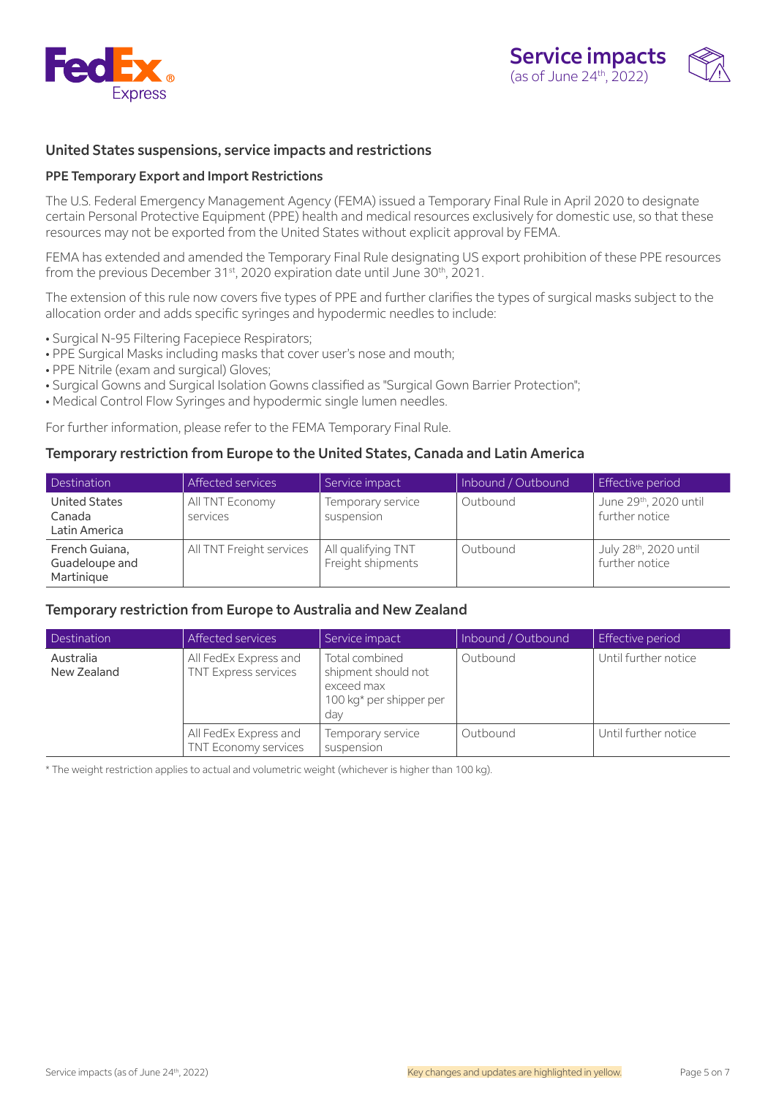



### United States suspensions, service impacts and restrictions

#### PPE Temporary Export and Import Restrictions

The U.S. Federal Emergency Management Agency (FEMA) issued a Temporary Final Rule in April 2020 to designate certain Personal Protective Equipment (PPE) health and medical resources exclusively for domestic use, so that these resources may not be exported from the United States without explicit approval by FEMA.

FEMA has extended and amended the Temporary Final Rule designating US export prohibition of these PPE resources from the previous December 31<sup>st</sup>, 2020 expiration date until June 30<sup>th</sup>, 2021.

The extension of this rule now covers five types of PPE and further clarifies the types of surgical masks subject to the allocation order and adds specific syringes and hypodermic needles to include:

- Surgical N-95 Filtering Facepiece Respirators;
- PPE Surgical Masks including masks that cover user's nose and mouth;
- PPE Nitrile (exam and surgical) Gloves;
- Surgical Gowns and Surgical Isolation Gowns classified as "Surgical Gown Barrier Protection";
- Medical Control Flow Syringes and hypodermic single lumen needles.

For further information, please refer to the FEMA Temporary Final Rule.

#### Temporary restriction from Europe to the United States, Canada and Latin America

| Destination                                     | Affected services           | Service impact                          | Inbound / Outbound | Effective period                        |
|-------------------------------------------------|-----------------------------|-----------------------------------------|--------------------|-----------------------------------------|
| <b>United States</b><br>Canada<br>Latin America | All TNT Economy<br>services | Temporary service<br>suspension         | Outbound           | June 29th, 2020 until<br>further notice |
| French Guiana,<br>Guadeloupe and<br>Martinique  | All TNT Freight services    | All qualifying TNT<br>Freight shipments | Outbound           | July 28th, 2020 until<br>further notice |

#### Temporary restriction from Europe to Australia and New Zealand

| Destination              | Affected services                             | Service impact                                                                        | Inbound / Outbound | Effective period     |
|--------------------------|-----------------------------------------------|---------------------------------------------------------------------------------------|--------------------|----------------------|
| Australia<br>New Zealand | All FedEx Express and<br>TNT Express services | Total combined<br>shipment should not<br>exceed max<br>100 kg* per shipper per<br>day | Outbound           | Until further notice |
|                          | All FedEx Express and<br>TNT Economy services | Temporary service<br>suspension                                                       | Outbound           | Until further notice |

\* The weight restriction applies to actual and volumetric weight (whichever is higher than 100 kg).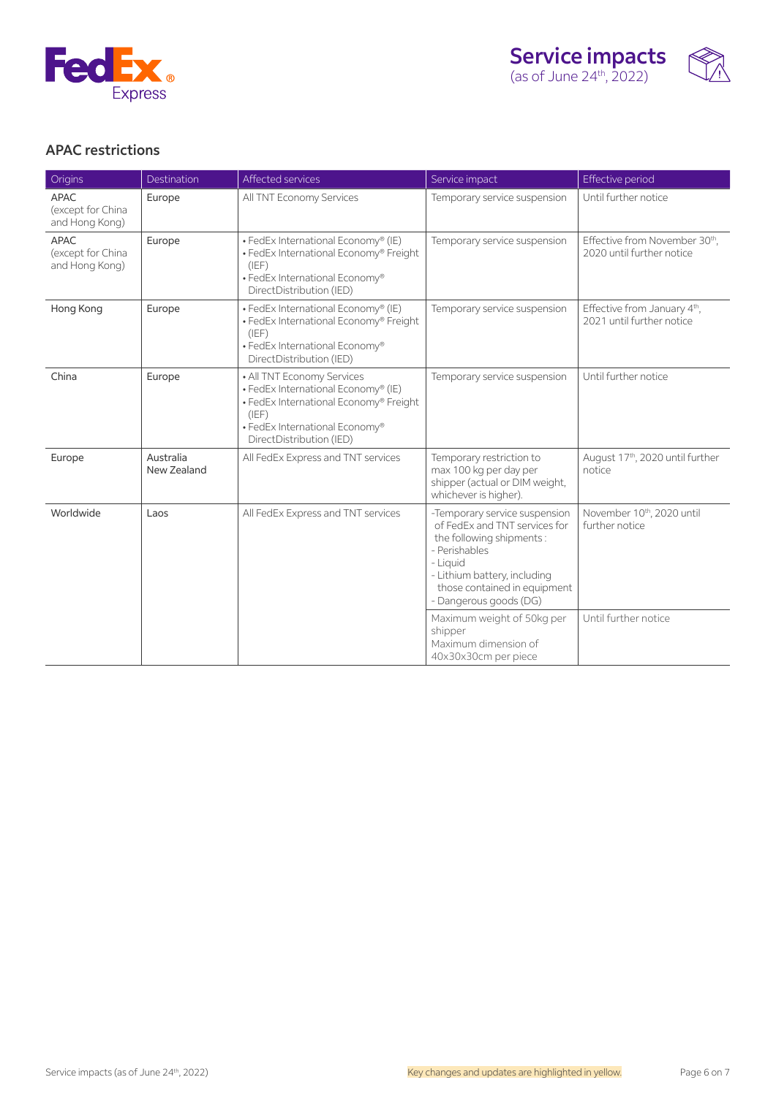



### APAC restrictions

| Origins                                            | Destination              | Affected services                                                                                                                                                                  | Service impact                                                                                                                                                                                                    | Effective period                                                      |
|----------------------------------------------------|--------------------------|------------------------------------------------------------------------------------------------------------------------------------------------------------------------------------|-------------------------------------------------------------------------------------------------------------------------------------------------------------------------------------------------------------------|-----------------------------------------------------------------------|
| APAC<br>(except for China<br>and Hong Kong)        | Europe                   | All TNT Economy Services                                                                                                                                                           | Temporary service suspension                                                                                                                                                                                      | Until further notice                                                  |
| <b>APAC</b><br>(except for China<br>and Hong Kong) | Europe                   | · FedEx International Economy® (IE)<br>• FedEx International Economy® Freight<br>(IEF)<br>• FedEx International Economy®<br>DirectDistribution (IED)                               | Temporary service suspension                                                                                                                                                                                      | Effective from November 30th,<br>2020 until further notice            |
| Hong Kong                                          | Europe                   | • FedEx International Economy® (IE)<br>· FedEx International Economy® Freight<br>(IEF)<br>• FedEx International Economy®<br>DirectDistribution (IED)                               | Temporary service suspension                                                                                                                                                                                      | Effective from January 4 <sup>th</sup> ,<br>2021 until further notice |
| China                                              | Europe                   | • All TNT Economy Services<br>· FedEx International Economy® (IE)<br>· FedEx International Economy® Freight<br>(IEF)<br>• FedEx International Economy®<br>DirectDistribution (IED) | Temporary service suspension                                                                                                                                                                                      | Until further notice                                                  |
| Europe                                             | Australia<br>New Zealand | All FedEx Express and TNT services                                                                                                                                                 | Temporary restriction to<br>max 100 kg per day per<br>shipper (actual or DIM weight,<br>whichever is higher).                                                                                                     | August 17th, 2020 until further<br>notice                             |
| Worldwide<br>Laos                                  |                          | All FedEx Express and TNT services                                                                                                                                                 | -Temporary service suspension<br>of FedEx and TNT services for<br>the following shipments:<br>- Perishables<br>- Liquid<br>- Lithium battery, including<br>those contained in equipment<br>- Dangerous goods (DG) | November 10th, 2020 until<br>further notice                           |
|                                                    |                          |                                                                                                                                                                                    | Maximum weight of 50kg per<br>shipper<br>Maximum dimension of<br>40x30x30cm per piece                                                                                                                             | Until further notice                                                  |